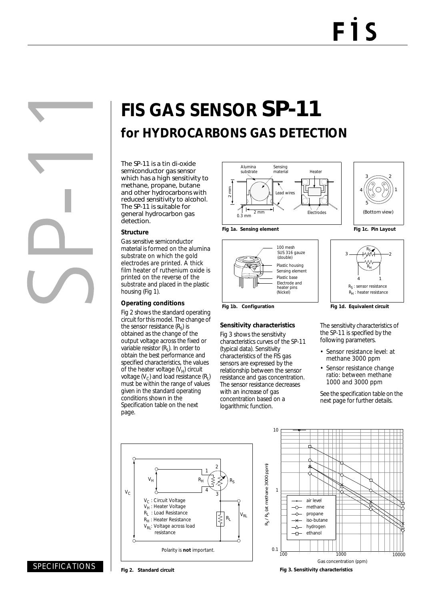# **FIS GAS SENSOR** SP-11 **for HYDROCARBONS GAS DETECTION**

The SP-11 is a tin di-oxide semiconductor gas sensor which has a high sensitivity to methane, propane, butane and other hydrocarbons with reduced sensitivity to alcohol. The SP-11 is suitable for general hydrocarbon gas detection.

### **Structure**

Gas sensitive semiconductor material is formed on the alumina substrate on which the gold electrodes are printed. A thick film heater of ruthenium oxide is printed on the reverse of the substrate and placed in the plastic housing (Fig 1).

#### **Operating conditions**

Fig 2 shows the standard operating circuit for this model. The change of the sensor resistance  $(R<sub>s</sub>)$  is obtained as the change of the output voltage across the fixed or variable resistor  $(R<sub>1</sub>)$ . In order to obtain the best performance and specified characteristics, the values of the heater voltage  $(V_H)$  circuit voltage  $(V_C)$  and load resistance  $(R<sub>L</sub>)$ must be within the range of values given in the standard operating conditions shown in the Specification table on the next page.



100 mesh SUS 316 gauze

(double)

Electrode and (Nickel)

heater pins

Plastic housing

Sensing element Plastic base







Fig 1b. Configuration **Fig 1d. Equivalent circuit** 

The sensitivity characteristics of the SP-11 is specified by the following parameters.

- Sensor resistance level: at methane 3000 ppm
- Sensor resistance change ratio: between methane 1000 and 3000 ppm

See the specification table on the next page for further details.





**Fig 3. Sensitivity characteristics**

**Sensitivity characteristics**

Fig 3 shows the sensitivity characteristics curves of the SP-11 (typical data). Sensitivity characteristics of the FIS gas sensors are expressed by the relationship between the sensor resistance and gas concentration. The sensor resistance decreases with an increase of gas concentration based on a logarithmic function.



**Fig 2. Standard circuit**